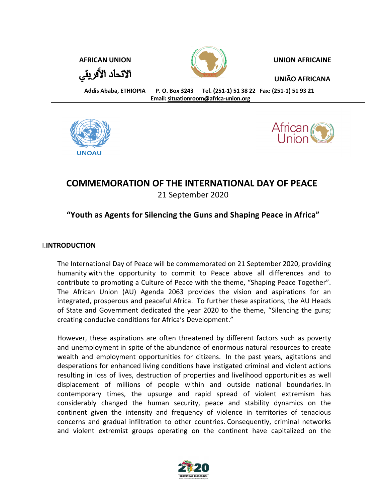الاتحاد الأفريقي



**AFRICAN UNION UNION AFRICAINE**

**UNIÃO AFRICANA**

**Addis Ababa, ETHIOPIA P. O. Box 3243 Tel. (251-1) 51 38 22 Fax: (251-1) 51 93 21 Email: situationroom@africa-union.org**





# **COMMEMORATION OF THE INTERNATIONAL DAY OF PEACE** 21 September 2020

## **"Youth as Agents for Silencing the Guns and Shaping Peace in Africa"**

### I.**INTRODUCTION**

The International Day of Peace will be commemorated on 21 September 2020, providing humanity with the opportunity to commit to Peace above all differences and to contribute to promoting a Culture of Peace with the theme, "Shaping Peace Together". The African Union (AU) Agenda 2063 provides the vision and aspirations for an integrated, prosperous and peaceful Africa. To further these aspirations, the AU Heads of State and Government dedicated the year 2020 to the theme, "Silencing the guns; creating conducive conditions for Africa's Development."

However, these aspirations are often threatened by different factors such as poverty and unemployment in spite of the abundance of enormous natural resources to create wealth and employment opportunities for citizens. In the past years, agitations and desperations for enhanced living conditions have instigated criminal and violent actions resulting in loss of lives, destruction of properties and livelihood opportunities as well displacement of millions of people within and outside national boundaries. In contemporary times, the upsurge and rapid spread of violent extremism has considerably changed the human security, peace and stability dynamics on the continent given the intensity and frequency of violence in territories of tenacious concerns and gradual infiltration to other countries. Consequently, criminal networks and violent extremist groups operating on the continent have capitalized on the

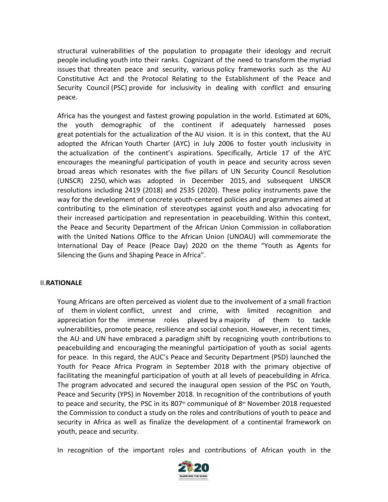structural vulnerabilities of the population to propagate their ideology and recruit people including youth into their ranks. Cognizant of the need to transform the myriad issues that threaten peace and security, various policy frameworks such as the AU Constitutive Act and the Protocol Relating to the Establishment of the Peace and Security Council (PSC) provide for inclusivity in dealing with conflict and ensuring peace.

Africa has the youngest and fastest growing population in the world. Estimated at 60%, the youth demographic of the continent if adequately harnessed poses great potentials for the actualization of the AU vision. It is in this context, that the AU adopted the African Youth Charter (AYC) in July 2006 to foster youth inclusivity in the actualization of the continent's aspirations. Specifically, Article 17 of the AYC encourages the meaningful participation of youth in peace and security across seven broad areas which resonates with the five pillars of UN Security Council Resolution (UNSCR) 2250, which was adopted in December 2015, and subsequent UNSCR resolutions including 2419 (2018) and 2535 (2020). These policy instruments pave the way for the development of concrete youth-centered policies and programmes aimed at contributing to the elimination of stereotypes against youth and also advocating for their increased participation and representation in peacebuilding. Within this context, the Peace and Security Department of the African Union Commission in collaboration with the United Nations Office to the African Union (UNOAU) will commemorate the International Day of Peace (Peace Day) 2020 on the theme "Youth as Agents for Silencing the Guns and Shaping Peace in Africa".

#### II.**RATIONALE**

Young Africans are often perceived as violent due to the involvement of a small fraction of them in violent conflict, unrest and crime, with limited recognition and appreciation for the immense roles played by a majority of them to tackle vulnerabilities, promote peace, resilience and social cohesion. However, in recent times, the AU and UN have embraced a paradigm shift by recognizing youth contributions to peacebuilding and encouraging the meaningful participation of youth as social agents for peace. In this regard, the AUC's Peace and Security Department (PSD) launched the Youth for Peace Africa Program in September 2018 with the primary objective of facilitating the meaningful participation of youth at all levels of peacebuilding in Africa. The program advocated and secured the inaugural open session of the PSC on Youth, Peace and Security (YPS) in November 2018. In recognition of the contributions of youth to peace and security, the PSC in its 807<sup>th</sup> communiqué of  $8<sup>th</sup>$  November 2018 requested the Commission to conduct a study on the roles and contributions of youth to peace and security in Africa as well as finalize the development of a continental framework on youth, peace and security.

In recognition of the important roles and contributions of African youth in the

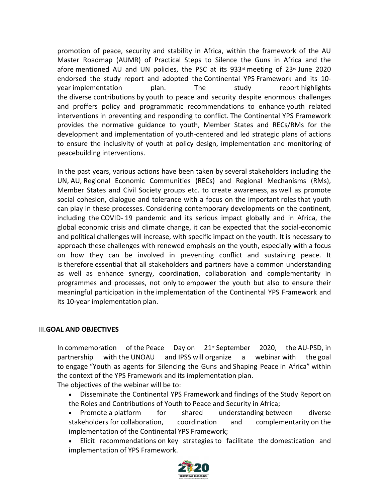promotion of peace, security and stability in Africa, within the framework of the AU Master Roadmap (AUMR) of Practical Steps to Silence the Guns in Africa and the afore mentioned AU and UN policies, the PSC at its 933<sup>rd</sup> meeting of 23<sup>rd</sup> June 2020 endorsed the study report and adopted the Continental YPS Framework and its 10 year implementation plan. The study report highlights the diverse contributions by youth to peace and security despite enormous challenges and proffers policy and programmatic recommendations to enhance youth related interventions in preventing and responding to conflict. The Continental YPS Framework provides the normative guidance to youth, Member States and RECs/RMs for the development and implementation of youth-centered and led strategic plans of actions to ensure the inclusivity of youth at policy design, implementation and monitoring of peacebuilding interventions.

In the past years, various actions have been taken by several stakeholders including the UN, AU, Regional Economic Communities (RECs) and Regional Mechanisms (RMs), Member States and Civil Society groups etc. to create awareness, as well as promote social cohesion, dialogue and tolerance with a focus on the important roles that youth can play in these processes. Considering contemporary developments on the continent, including the COVID- 19 pandemic and its serious impact globally and in Africa, the global economic crisis and climate change, it can be expected that the social-economic and political challenges will increase, with specific impact on the youth. It is necessary to approach these challenges with renewed emphasis on the youth, especially with a focus on how they can be involved in preventing conflict and sustaining peace. It is therefore essential that all stakeholders and partners have a common understanding as well as enhance synergy, coordination, collaboration and complementarity in programmes and processes, not only to empower the youth but also to ensure their meaningful participation in the implementation of the Continental YPS Framework and its 10-year implementation plan.

#### III.**GOAL AND OBJECTIVES**

In commemoration of the Peace Day on  $21<sup>st</sup>$  September 2020, the AU-PSD, in partnership with the UNOAU and IPSS will organize a webinar with the goal to engage "Youth as agents for Silencing the Guns and Shaping Peace in Africa" within the context of the YPS Framework and its implementation plan.

The objectives of the webinar will be to:

- Disseminate the Continental YPS Framework and findings of the Study Report on the Roles and Contributions of Youth to Peace and Security in Africa;
- Promote a platform for shared understanding between diverse stakeholders for collaboration, coordination and complementarity on the implementation of the Continental YPS Framework;
- Elicit recommendations on key strategies to facilitate the domestication and implementation of YPS Framework.